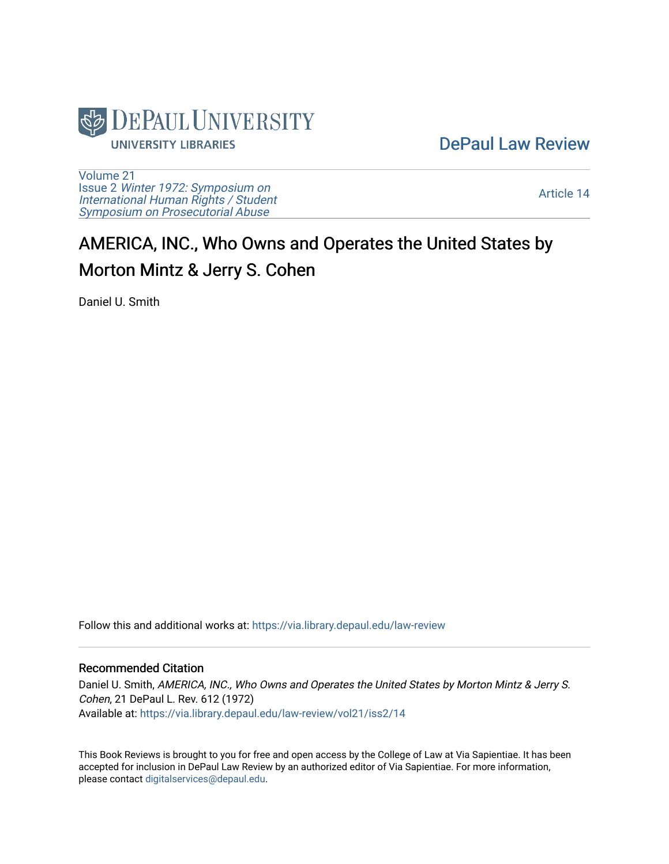

[DePaul Law Review](https://via.library.depaul.edu/law-review) 

[Volume 21](https://via.library.depaul.edu/law-review/vol21) Issue 2 [Winter 1972: Symposium on](https://via.library.depaul.edu/law-review/vol21/iss2) [International Human Rights / Student](https://via.library.depaul.edu/law-review/vol21/iss2) [Symposium on Prosecutorial Abuse](https://via.library.depaul.edu/law-review/vol21/iss2)

[Article 14](https://via.library.depaul.edu/law-review/vol21/iss2/14) 

## AMERICA, INC., Who Owns and Operates the United States by Morton Mintz & Jerry S. Cohen

Daniel U. Smith

Follow this and additional works at: [https://via.library.depaul.edu/law-review](https://via.library.depaul.edu/law-review?utm_source=via.library.depaul.edu%2Flaw-review%2Fvol21%2Fiss2%2F14&utm_medium=PDF&utm_campaign=PDFCoverPages) 

## Recommended Citation

Daniel U. Smith, AMERICA, INC., Who Owns and Operates the United States by Morton Mintz & Jerry S. Cohen, 21 DePaul L. Rev. 612 (1972) Available at: [https://via.library.depaul.edu/law-review/vol21/iss2/14](https://via.library.depaul.edu/law-review/vol21/iss2/14?utm_source=via.library.depaul.edu%2Flaw-review%2Fvol21%2Fiss2%2F14&utm_medium=PDF&utm_campaign=PDFCoverPages)

This Book Reviews is brought to you for free and open access by the College of Law at Via Sapientiae. It has been accepted for inclusion in DePaul Law Review by an authorized editor of Via Sapientiae. For more information, please contact [digitalservices@depaul.edu.](mailto:digitalservices@depaul.edu)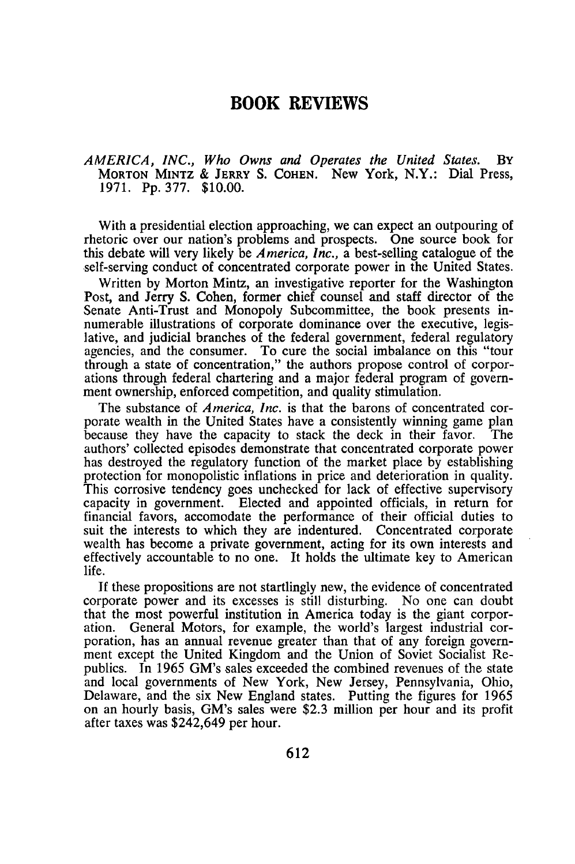## **BOOK REVIEWS**

*AMERICA, INC., Who Owns and Operates the United States.* BY **MORTON MINTZ & JERRY S. COHEN.** New York, N.Y.: Dial Press, **1971. Pp. 377. \$10.00.**

With a presidential election approaching, we can expect an outpouring of rhetoric over our nation's problems and prospects. One source book for this debate will very likely be *America, Inc.,* a best-selling catalogue of the self-serving conduct of concentrated corporate power in the United States.

Written by Morton Mintz, an investigative reporter for the Washington Post, and Jerry S. Cohen, former chief counsel and staff director of the Senate Anti-Trust and Monopoly Subcommittee, the book presents innumerable illustrations of corporate dominance over the executive, legislative, and judicial branches of the federal government, federal regulatory agencies, and the consumer. To cure the social imbalance on this "tour through a state of concentration," the authors propose control of corporations through federal chartering and a major federal program of government ownership, enforced competition, and quality stimulation.

The substance of *America, Inc.* is that the barons of concentrated corporate wealth in the United States have a consistently winning game plan because they have the capacity to stack the deck in their favor. The authors' collected episodes demonstrate that concentrated corporate power has destroyed the regulatory function of the market place by establishing protection for monopolistic inflations in price and deterioration in quality This corrosive tendency goes unchecked for lack of effective supervisory capacity in government. Elected and appointed officials, in return for financial favors, accomodate the performance of their official duties to suit the interests to which they are indentured. Concentrated corporate wealth has become a private government, acting for its own interests and effectively accountable to no one. It holds the ultimate key to American life.

If these propositions are not startlingly new, the evidence of concentrated corporate power and its excesses is still disturbing. No one can doubt that the most powerful institution in America today is the giant corporation. General Motors, for example, the world's largest industrial corporation, has an annual revenue greater than that of any foreign government except the United Kingdom and the Union of Soviet Socialist Republics. In 1965 GM's sales exceeded the combined revenues of the state and local governments of New York, New Jersey, Pennsylvania, Ohio, Delaware, and the six New England states. Putting the figures for 1965 on an hourly basis, GM's sales were \$2.3 million per hour and its profit after taxes was \$242,649 per hour.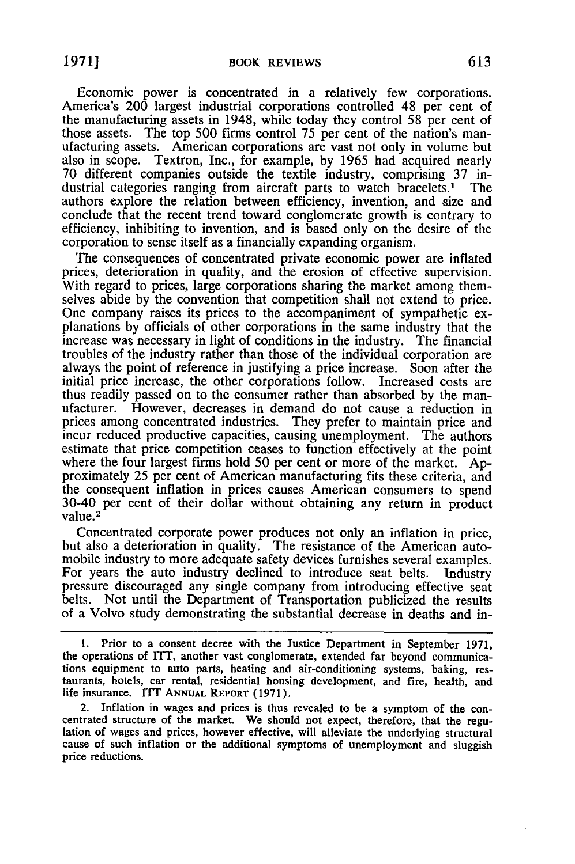Economic power is concentrated in a relatively few corporations. America's 200 largest industrial corporations controlled 48 per cent of the manufacturing assets in 1948, while today they control 58 per cent of those assets. The top 500 firms control 75 per cent of the nation's manufacturing assets. American corporations are vast not only in volume but also in scope. Textron, Inc., for example, by 1965 had acquired nearly 70 different companies outside the textile industry, comprising 37 industrial categories ranging from aircraft parts to watch bracelets.' The authors explore the relation between efficiency, invention, and size and conclude that the recent trend toward conglomerate growth is contrary to efficiency, inhibiting to invention, and is based only on the desire of the corporation to sense itself as a financially expanding organism.

The consequences of concentrated private economic power are inflated prices, deterioration in quality, and the erosion of effective supervision. With regard to prices, large corporations sharing the market among themselves abide by the convention that competition shall not extend to price. One company raises its prices to the accompaniment of sympathetic explanations by officials of other corporations in the same industry that the increase was necessary in light of conditions in the industry. The financial troubles of the industry rather than those of the individual corporation are always the point of reference in justifying a price increase. Soon after the initial price increase, the other corporations follow. Increased costs are thus readily passed on to the consumer rather than absorbed by the manufacturer. However, decreases in demand do not cause a reduction in prices among concentrated industries. They prefer to maintain price and incur reduced productive capacities, causing unemployment. The authors estimate that price competition ceases to function effectively at the point where the four largest firms hold 50 per cent or more of the market. Approximately 25 per cent of American manufacturing fits these criteria, and the consequent inflation in prices causes American consumers to spend 30-40 per cent of their dollar without obtaining any return in product value.<sup>2</sup>

Concentrated corporate power produces not only an inflation in price, but also a deterioration in quality. The resistance of the American automobile industry to more adequate safety devices furnishes several examples. For years the auto industry declined to introduce seat belts. Industry pressure discouraged any single company from introducing effective seat belts. Not until the Department of Transportation publicized the results of a Volvo study demonstrating the substantial decrease in deaths and in-

<sup>1.</sup> Prior to a consent decree with the Justice Department in September 1971, the operations of ITT, another vast conglomerate, extended far beyond communications equipment to auto parts, heating and air-conditioning systems, baking, restaurants, hotels, car rental, residential housing development, and fire, health, and life insurance. **ITT ANNUAL** REPORT (1971).

<sup>2.</sup> Inflation in wages and prices is thus revealed to be a symptom of the concentrated structure of the market. We should not expect, therefore, that the regulation of wages and prices, however effective, will alleviate the underlying structural cause of such inflation or the additional symptoms of unemployment and sluggish price reductions.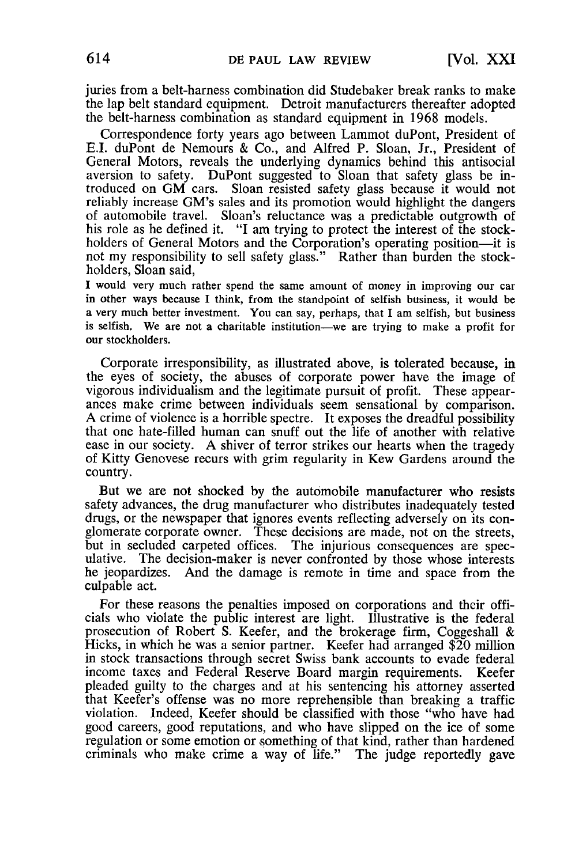juries from a belt-harness combination did Studebaker break ranks to make the lap belt standard equipment. Detroit manufacturers thereafter adopted the belt-harness combination as standard equipment in 1968 models.

Correspondence forty years ago between Lammot duPont, President of E.I. duPont de Nemours & Co., and Alfred P. Sloan, Jr., President of General Motors, reveals the underlying dynamics behind this antisocial aversion to safety. DuPont suggested to Sloan that safety glass be introduced on GM cars. Sloan resisted safety glass because it would not reliably increase GM's sales and its promotion would highlight the dangers of automobile travel. Sloan's reluctance was a predictable outgrowth of his role as he defined it. "I am trying to protect the interest of the stockholders of General Motors and the Corporation's operating position—it is not my responsibility to sell safety glass." Rather than burden the stockholders, Sloan said,

I would very much rather spend the same amount of money in improving our car in other ways because **I** think, from the standpoint of selfish business, it would be a very much better investment. You can say, perhaps, that I am selfish, but business is selfish. We are not a charitable institution-we are trying to make a profit for our stockholders.

Corporate irresponsibility, as illustrated above, is tolerated because, in the eyes of society, the abuses of corporate power have the image of vigorous individualism and the legitimate pursuit of profit. These appearances make crime between individuals seem sensational by comparison. A crime of violence is a horrible spectre. It exposes the dreadful possibility that one hate-filled human can snuff out the life of another with relative ease in our society. A shiver of terror strikes our hearts when the tragedy of Kitty Genovese recurs with grim regularity in Kew Gardens around the country.

But we are not shocked by the automobile manufacturer who resists safety advances, the drug manufacturer who distributes inadequately tested drugs, or the newspaper that ignores events reflecting adversely on its conglomerate corporate owner. These decisions are made, not on the streets, but in secluded carpeted offices. The injurious consequences are spec- ulative. The decision-maker is never confronted by those whose interests he jeopardizes. And the damage is remote in time and space from the culpable act.

For these reasons the penalties imposed on corporations and their officials who violate the public interest are light. Illustrative is the federal prosecution of Robert S. Keefer, and the brokerage firm, Coggeshall & Hicks, in which he was a senior partner. Keefer had arranged \$20 million in stock transactions through secret Swiss bank accounts to evade federal income taxes and Federal Reserve Board margin requirements. Keefer pleaded guilty to the charges and at his sentencing his attorney asserted that Keefer's offense was no more reprehensible than breaking a traffic violation. Indeed, Keefer should be classified with those "who have had good careers, good reputations, and who have slipped on the ice of some regulation or some emotion or something of that kind, rather than hardened criminals who make crime a way of life." The judge reportedly gave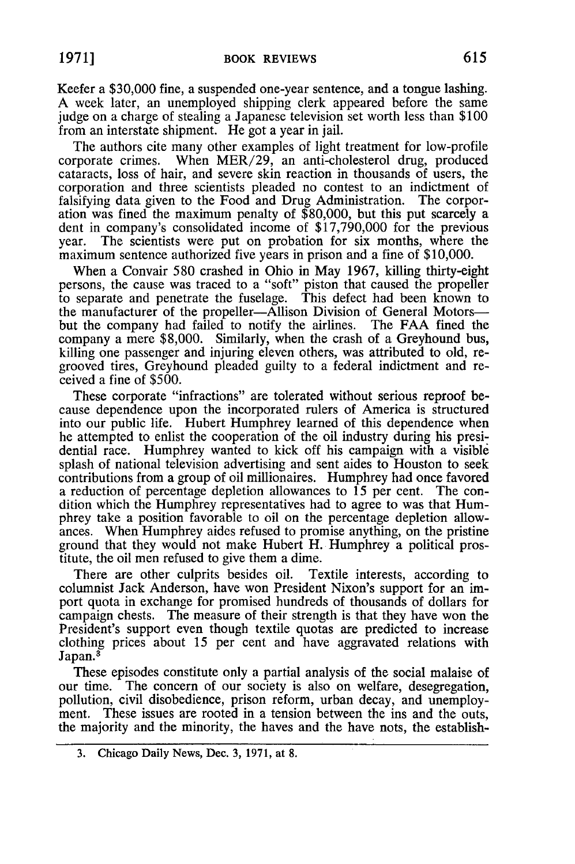Keefer a \$30,000 fine, a suspended one-year sentence, and a tongue lashing. A week later, an unemployed shipping clerk appeared before the same judge on a charge of stealing a Japanese television set worth less than \$100 from an interstate shipment. He got a year in jail.

The authors cite many other examples of light treatment for low-profile corporate crimes. When MER/29, an anti-cholesterol drug, produced cataracts, loss of hair, and severe skin reaction in thousands of users, the corporation and three scientists pleaded no contest to an indictment of falsifying data given to the Food and Drug Administration. The corporation was fined the maximum penalty of \$80,000, but this put scarcely a dent in company's consolidated income of \$17,790,000 for the previous year. The scientists were put on probation for six months, where the maximum sentence authorized five years in prison and a fine of \$10,000.

When a Convair 580 crashed in Ohio in May 1967, killing thirty-eight persons, the cause was traced to a "soft" piston that caused the propeller to separate and penetrate the fuselage. This defect had been known to the manufacturer of the propeller-Allison Division of General Motorsbut the company had failed to notify the airlines. The FAA fined the company a mere \$8,000. Similarly, when the crash of a Greyhound bus, killing one passenger and injuring eleven others, was attributed to old, regrooved tires, Greyhound pleaded guilty to a federal indictment and received a fine of \$500.

These corporate "infractions" are tolerated without serious reproof because dependence upon the incorporated rulers of America is structured into our public life. Hubert Humphrey learned of this dependence when he attempted to enlist the cooperation of the oil industry during his presidential race. Humphrey wanted to kick off his campaign with a visible splash of national television advertising and sent aides to Houston to seek contributions from a group of oil millionaires. Humphrey had once favored a reduction of percentage depletion allowances to 15 per cent. The condition which the Humphrey representatives had to agree to was that Humphrey take a position favorable to oil on the percentage depletion allowances. When Humphrey aides refused to promise anything, on the pristine ground that they would not make Hubert H. Humphrey a political prostitute, the oil men refused to give them a dime.

There are other culprits besides oil. Textile interests, according to columnist Jack Anderson, have won President Nixon's support for an import quota in exchange for promised hundreds of thousands of dollars for campaign chests. The measure of their strength is that they have won the President's support even though textile quotas are predicted to increase clothing prices about 15 per cent and have aggravated relations with Japan.<sup>3</sup>

These episodes constitute only a partial analysis of the social malaise of our time. The concern of our society is also on welfare, desegregation, pollution, civil disobedience, prison reform, urban decay, and unemployment. These issues are rooted in a tension between the ins and the outs, the majority and the minority, the haves and the have nots, the establish-

<sup>3.</sup> Chicago Daily News, Dec. 3, **1971,** at 8.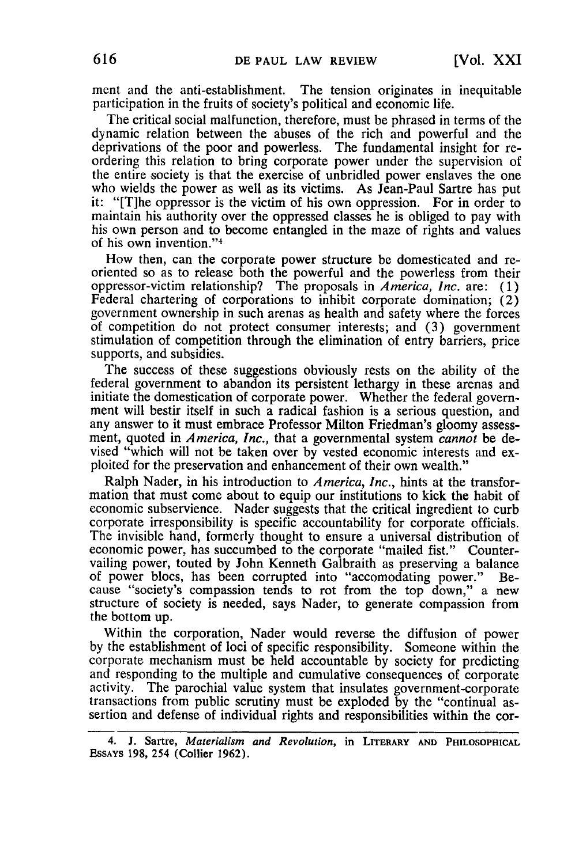ment and the anti-establishment. The tension originates in inequitable participation in the fruits of society's political and economic life.

The critical social malfunction, therefore, must be phrased in terms of the dynamic relation between the abuses of the rich and powerful and the deprivations of the poor and powerless. The fundamental insight for reordering this relation to bring corporate power under the supervision of the entire society is that the exercise of unbridled power enslaves the one who wields the power as well as its victims. As Jean-Paul Sartre has put it: "[T]he oppressor is the victim of his own oppression. For in order to maintain his authority over the oppressed classes he is obliged to pay with his own person and to become entangled in the maze of rights and values of his own invention."<sup>4</sup>

How then, can the corporate power structure be domesticated and reoriented so as to release both the powerful and the powerless from their oppressor-victim relationship? The proposals in *America, Inc.* are: (1) Federal chartering of corporations to inhibit corporate domination; (2) government ownership in such arenas as health and safety where the forces of competition do not protect consumer interests; and (3) government stimulation of competition through the elimination of entry barriers, price supports, and subsidies.

The success of these suggestions obviously rests on the ability of the federal government to abandon its persistent lethargy in these arenas and initiate the domestication of corporate power. Whether the federal government will bestir itself in such a radical fashion is a serious question, and any answer to it must embrace Professor Milton Friedman's gloomy assessment, quoted in *America, Inc.,* that a governmental system *cannot* be devised "which will not be taken over by vested economic interests and exploited for the preservation and enhancement of their own wealth."

Ralph Nader, in his introduction to *America, Inc.,* hints at the transformation that must come about to equip our institutions to kick the habit of economic subservience. Nader suggests that the critical ingredient to curb corporate irresponsibility is specific accountability for corporate officials. The invisible hand, formerly thought to ensure a universal distribution of economic power, has succumbed to the corporate "mailed fist." Countervailing power, touted by John Kenneth Galbraith as preserving a balance of power blocs, has been corrupted into "accomodating power." Because "society's compassion tends to rot from the top down," a new structure of society is needed, says Nader, to generate compassion from the bottom up.

Within the corporation, Nader would reverse the diffusion of power by the establishment of loci of specific responsibility. Someone within the corporate mechanism must be held accountable by society for predicting<br>and responding to the multiple and cumulative consequences of corporate<br>activity. The parochial value system that insulates government-corporate<br>transa sertion and defense of individual rights and responsibilities within the cor-

**<sup>4.</sup> J. Sartre,** *Materialism and Revolution,* in LITERARY **AND PHILOSOPHICAL** ESSAYS **198,** 254 (Collier **1962).**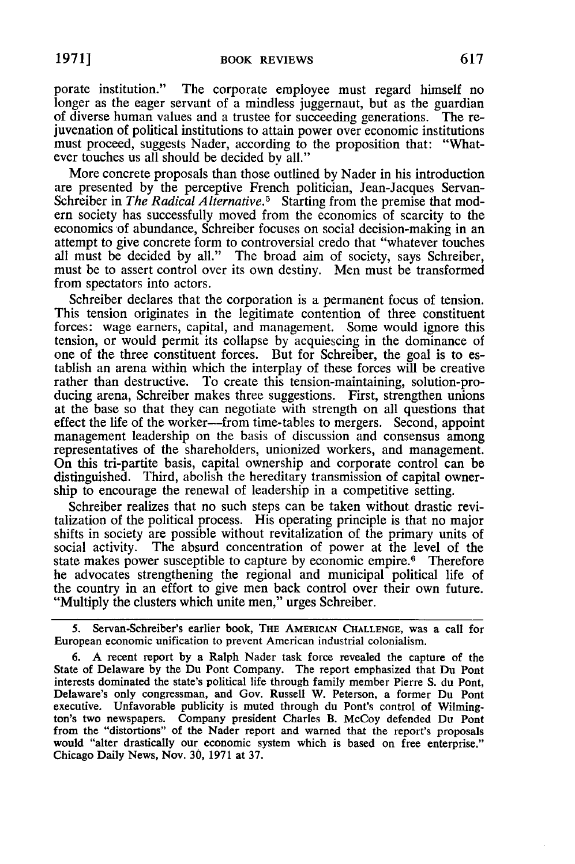porate institution." The corporate employee must regard himself no longer as the eager servant of a mindless juggernaut, but as the guardian of diverse human values and a trustee for succeeding generations. The rejuvenation of political institutions to attain power over economic institutions must proceed, suggests Nader, according to the proposition that: "Whatever touches us all should be decided by all."

More concrete proposals than those outlined by Nader in his introduction are presented by the perceptive French politician, Jean-Jacques Servan-Schreiber in *The Radical Alternative.5* Starting from the premise that modern society has successfully moved from the economics of scarcity to the economics of abundance, Schreiber focuses on social decision-making in an attempt to give concrete form to controversial credo that "whatever touches all must be decided by all." The broad aim of society, says Schreiber, must be to assert control over its own destiny. Men must be transformed from spectators into actors.

Schreiber declares that the corporation is a permanent focus of tension. This tension originates in the legitimate contention of three constituent forces: wage earners, capital, and management. Some would ignore this tension, or would permit its collapse by acquiescing in the dominance of one of the three constituent forces. But for Schreiber, the goal is to establish an arena within which the interplay of these forces will be creative rather than destructive. To create this tension-maintaining, solution-producing arena, Schreiber makes three suggestions. First, strengthen unions at the base so that they can negotiate with strength on all questions that effect the life of the worker-from time-tables to mergers. Second, appoint management leadership on the basis of discussion and consensus among representatives of the shareholders, unionized workers, and management. On this tri-partite basis, capital ownership and corporate control can be distinguished. Third, abolish the hereditary transmission of capital ownership to encourage the renewal of leadership in a competitive setting.

Schreiber realizes that no such steps can be taken without drastic revitalization of the political process. His operating principle is that no major shifts in society are possible without revitalization of the primary units of social activity. The absurd concentration of power at the level of the state makes power susceptible to capture by economic empire.<sup>6</sup> Therefore he advocates strengthening the regional and municipal political life of the country in an effort to give men back control over their own future. "Multiply the clusters which unite men," urges Schreiber.

5. Servan-Schreiber's earlier book, THE AMERICAN CHALLENGE, was a call for European economic unification to prevent American industrial colonialism.

**6. A** recent report by a Ralph Nader task force revealed the capture of the State of Delaware by the Du Pont Company. The report emphasized that Du Pont interests dominated the state's political life through family member Pierre S. du Pont, Delaware's only congressman, and Gov. Russell W. Peterson, a former Du Pont executive. Unfavorable publicity is muted through du Pont's control of Wilmington's two newspapers. Company president Charles B. McCoy defended Du Pont from the "distortions" of the Nader report and warned that the report's proposals would "alter drastically our economic system which is based on free enterprise." Chicago Daily News, Nov. 30, 1971 at 37.